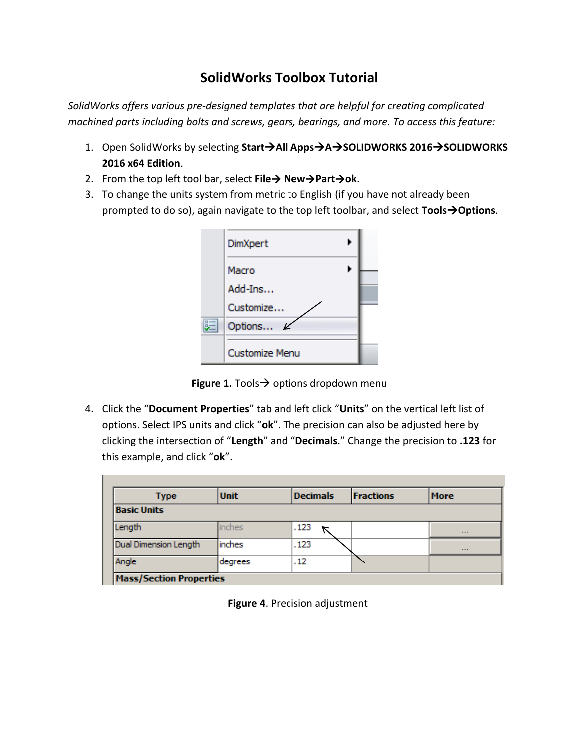## **SolidWorks Toolbox Tutorial**

*SolidWorks offers various pre-designed templates that are helpful for creating complicated machined parts including bolts and screws, gears, bearings, and more. To access this feature:* 

- 1. Open SolidWorks by selecting Start > All Apps > A > SOLIDWORKS 2016 > SOLIDWORKS **2016 x64 Edition**.
- 2. From the top left tool bar, select **File NewPartok**.
- 3. To change the units system from metric to English (if you have not already been prompted to do so), again navigate to the top left toolbar, and select **ToolsOptions**.

|   | DimXpert              |  |
|---|-----------------------|--|
|   | Macro                 |  |
|   | Add-Ins               |  |
|   | Customize             |  |
| 胆 | Options               |  |
|   | <b>Customize Menu</b> |  |

**Figure 1.** Tools  $\rightarrow$  options dropdown menu

4. Click the "**Document Properties**" tab and left click "**Units**" on the vertical left list of options. Select IPS units and click "**ok**". The precision can also be adjusted here by clicking the intersection of "**Length**" and "**Decimals**." Change the precision to **.123** for this example, and click "**ok**".

| Type                           | <b>Unit</b> | <b>Decimals</b> | <b>Fractions</b> | <b>More</b> |  |  |
|--------------------------------|-------------|-----------------|------------------|-------------|--|--|
| <b>Basic Units</b>             |             |                 |                  |             |  |  |
| Length                         | inches      | .123            |                  | $\cdots$    |  |  |
| Dual Dimension Length          | inches      | .123            |                  | $\cdots$    |  |  |
| Angle                          | degrees     | .12             |                  |             |  |  |
| <b>Mass/Section Properties</b> |             |                 |                  |             |  |  |

**Figure 4**. Precision adjustment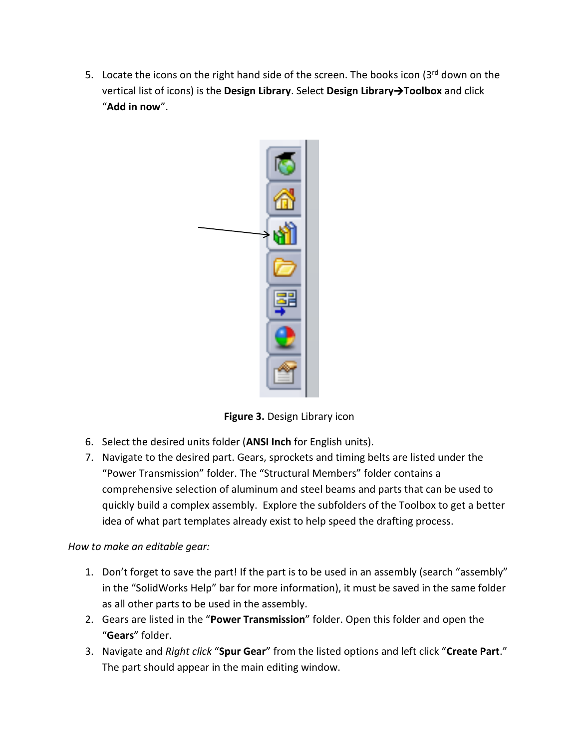5. Locate the icons on the right hand side of the screen. The books icon  $(3^{rd}$  down on the vertical list of icons) is the **Design Library**. Select **Design LibraryToolbox** and click "**Add in now**".



**Figure 3.** Design Library icon

- 6. Select the desired units folder (**ANSI Inch** for English units).
- 7. Navigate to the desired part. Gears, sprockets and timing belts are listed under the "Power Transmission" folder. The "Structural Members" folder contains a comprehensive selection of aluminum and steel beams and parts that can be used to quickly build a complex assembly. Explore the subfolders of the Toolbox to get a better idea of what part templates already exist to help speed the drafting process.

*How to make an editable gear:* 

- 1. Don't forget to save the part! If the part is to be used in an assembly (search "assembly" in the "SolidWorks Help" bar for more information), it must be saved in the same folder as all other parts to be used in the assembly.
- 2. Gears are listed in the "**Power Transmission**" folder. Open this folder and open the "**Gears**" folder.
- 3. Navigate and *Right click* "**Spur Gear**" from the listed options and left click "**Create Part**." The part should appear in the main editing window.